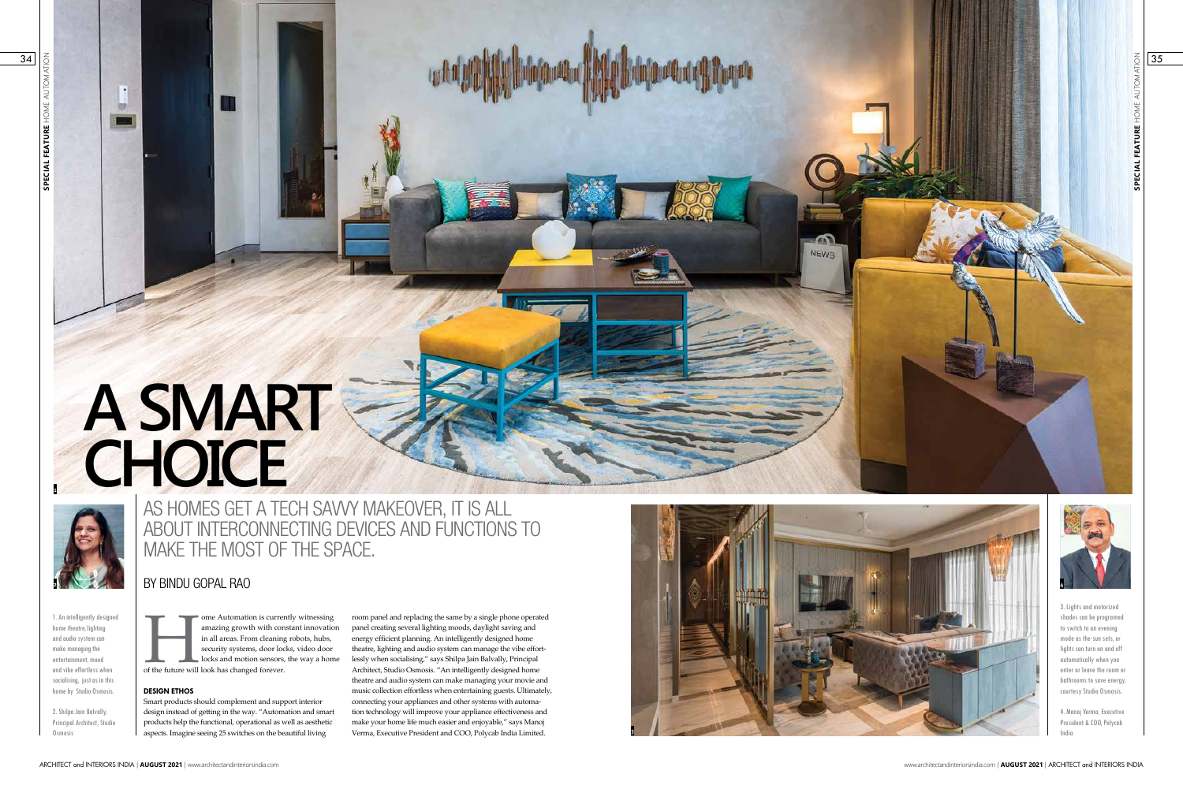$12$ 

34

# BY BINDU GOPAL RAO

# **A SMART CHOICE**

1. An intelligently designed home theatre, lighting and audio system can make managing the entertainment, mood and vibe effortless when socialising, just as in this home by Studio Osmosis.

ome Automation is currently witnessing<br>amazing growth with constant innovatio<br>in all areas. From cleaning robots, hubs,<br>security systems, door locks, video door<br>locks and motion sensors, the way a hom<br>of the future will lo amazing growth with constant innovation in all areas. From cleaning robots, hubs, security systems, door locks, video door locks and motion sensors, the way a home of the future will look has changed forever.

2. Shilpa Jain Balvally, Principal Architect, Studio Osmosis



# **DESIGN ETHOS**

Smart products should complement and support interior design instead of getting in the way. "Automation and smart products help the functional, operational as well as aesthetic aspects. Imagine seeing 25 switches on the beautiful living

room panel and replacing the same by a single phone operated panel creating several lighting moods, daylight saving and energy efficient planning. An intelligently designed home theatre, lighting and audio system can manage the vibe effortlessly when socialising," says Shilpa Jain Balvally, Principal Architect, Studio Osmosis. "An intelligently designed home theatre and audio system can make managing your movie and music collection effortless when entertaining guests. Ultimately, connecting your appliances and other systems with automation technology will improve your appliance effectiveness and make your home life much easier and enjoyable," says Manoj Verma, Executive President and COO, Polycab India Limited.

AS HOMES GET A TECH SAVVY MAKEOVER, IT IS ALL ABOUT INTERCONNECTING DEVICES AND FUNCTIONS TO MAKE THE MOST OF THE SPACE.

**1**



3. Lights and motorized shades can be programed to switch to an evening mode as the sun sets, or lights can turn on and off automatically when you enter or leave the room or bathrooms to save energy, courtesy Studio Osmosis.

4. Manoj Verma, Executive President & COO, Polycab  $35$ 



![](_page_0_Picture_14.jpeg)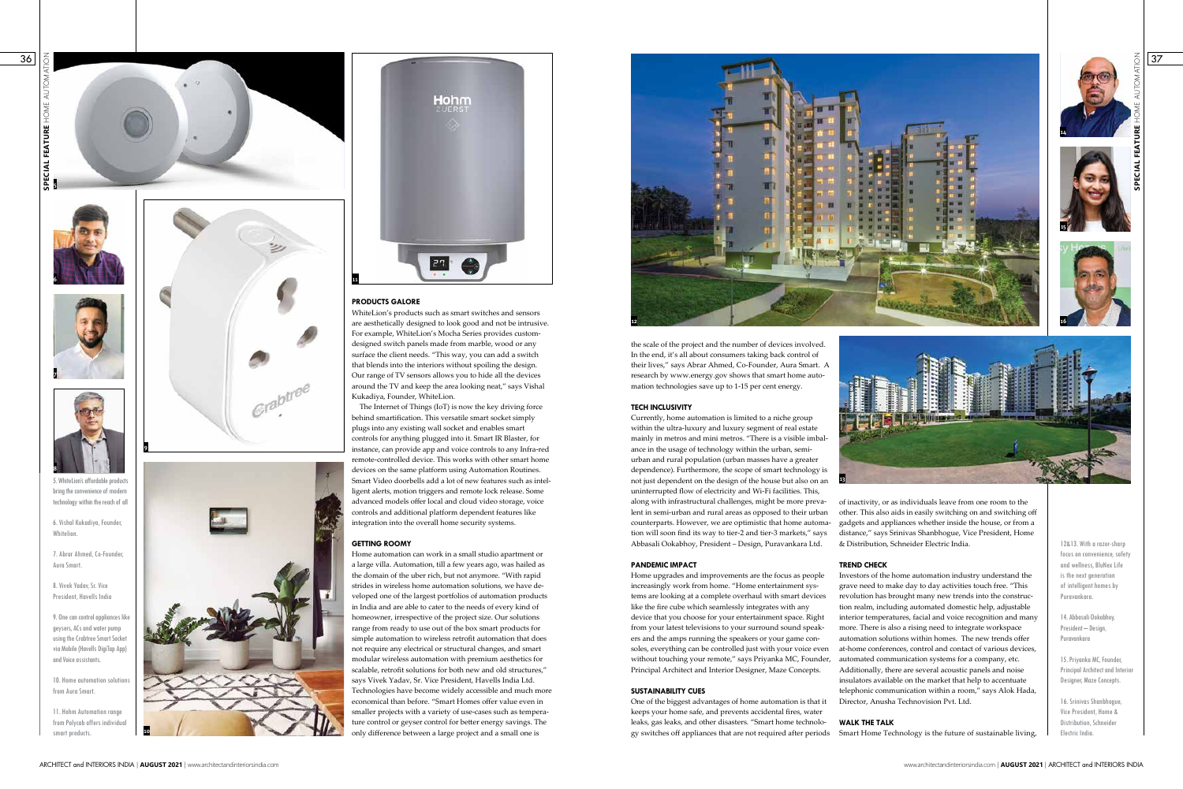![](_page_1_Picture_1.jpeg)

![](_page_1_Picture_29.jpeg)

![](_page_1_Picture_2.jpeg)

![](_page_1_Picture_3.jpeg)

![](_page_1_Picture_4.jpeg)

5. WhiteLion's affordable product bring the convenience of modern technology within the reach of all

6. Vishal Kukadiya, Founder, Whitelion.

10. Home automation solution from Aura Smart.

7. Abrar Ahmed, Co-Founder, Aura Smart.

8. Vivek Yadav, Sr. Vice President, Havells India

9. One can control appliances like geysers, ACs and water pump using the Crabtree Smart Socket via Mobile (Havells DigiTap App) and Voice assistants.

11. Hohm Automation range from Polycab offers individual smart products.

# **PRODUCTS GALORE**

WhiteLion's products such as smart switches and sensors are aesthetically designed to look good and not be intrusive. For example, WhiteLion's Mocha Series provides customdesigned switch panels made from marble, wood or any surface the client needs. "This way, you can add a switch that blends into the interiors without spoiling the design. Our range of TV sensors allows you to hide all the devices around the TV and keep the area looking neat," says Vishal Kukadiya, Founder, WhiteLion.

The Internet of Things (IoT) is now the key driving force behind smartification. This versatile smart socket simply plugs into any existing wall socket and enables smart controls for anything plugged into it. Smart IR Blaster, for instance, can provide app and voice controls to any Infra-red remote-controlled device. This works with other smart home devices on the same platform using Automation Routines. Smart Video doorbells add a lot of new features such as intelligent alerts, motion triggers and remote lock release. Some advanced models offer local and cloud video storage, voice controls and additional platform dependent features like integration into the overall home security systems.

## **GETTING ROOMY**

Home automation can work in a small studio apartment or a large villa. Automation, till a few years ago, was hailed as the domain of the uber rich, but not anymore. "With rapid strides in wireless home automation solutions, we have developed one of the largest portfolios of automation products in India and are able to cater to the needs of every kind of homeowner, irrespective of the project size. Our solutions range from ready to use out of the box smart products for simple automation to wireless retrofit automation that does not require any electrical or structural changes, and smart modular wireless automation with premium aesthetics for scalable, retrofit solutions for both new and old structures," says Vivek Yadav, Sr. Vice President, Havells India Ltd. Technologies have become widely accessible and much more economical than before. "Smart Homes offer value even in smaller projects with a variety of use-cases such as temperature control or geyser control for better energy savings. The only difference between a large project and a small one is

**11**

![](_page_1_Picture_13.jpeg)

![](_page_1_Picture_14.jpeg)

![](_page_1_Picture_12.jpeg)

37

### **TREND CHECK**

12&13. With a razor-sharp focus on convenience, safety and wellness, BluNex Life is the next generation of intelligent homes by Puravankara.

14. Abbasali Ookabhoy, President – Design, Puravankara

of inactivity, or as individuals leave from one room to the other. This also aids in easily switching on and switching off gadgets and appliances whether inside the house, or from a distance," says Srinivas Shanbhogue, Vice President, Home & Distribution, Schneider Electric India. **13** Currently, home automation is limited to a niche group within the ultra-luxury and luxury segment of real estate mainly in metros and mini metros. "There is a visible imbalance in the usage of technology within the urban, semiurban and rural population (urban masses have a greater dependence). Furthermore, the scope of smart technology is not just dependent on the design of the house but also on an uninterrupted flow of electricity and Wi-Fi facilities. This, along with infrastructural challenges, might be more prevalent in semi-urban and rural areas as opposed to their urban counterparts. However, we are optimistic that home automation will soon find its way to tier-2 and tier-3 markets," says Abbasali Ookabhoy, President – Design, Puravankara Ltd.

> 15. Priyanka MC, Founder, Principal Architect and Interior Designer, Maze Concepts.

16. Srinivas Shanbhogue, Vice President, Home & Distribution, Schneider Electric India.

the scale of the project and the number of devices involved. In the end, it's all about consumers taking back control of their lives," says Abrar Ahmed, Co-Founder, Aura Smart. A research by www.energy.gov shows that smart home automation technologies save up to 1-15 per cent energy.

![](_page_1_Picture_20.jpeg)

Investors of the home automation industry understand the grave need to make day to day activities touch free. "This revolution has brought many new trends into the construction realm, including automated domestic help, adjustable interior temperatures, facial and voice recognition and many more. There is also a rising need to integrate workspace automation solutions within homes. The new trends offer at-home conferences, control and contact of various devices, automated communication systems for a company, etc. Additionally, there are several acoustic panels and noise insulators available on the market that help to accentuate telephonic communication within a room," says Alok Hada, Director, Anusha Technovision Pvt. Ltd. Home upgrades and improvements are the focus as people increasingly work from home. "Home entertainment systems are looking at a complete overhaul with smart devices like the fire cube which seamlessly integrates with any device that you choose for your entertainment space. Right from your latest televisions to your surround sound speakers and the amps running the speakers or your game consoles, everything can be controlled just with your voice even without touching your remote," says Priyanka MC, Founder, Principal Architect and Interior Designer, Maze Concepts. **SUSTAINABILITY CUES** One of the biggest advantages of home automation is that it

## **TECH INCLUSIVITY**

**WALK THE TALK** Smart Home Technology is the future of sustainable living, keeps your home safe, and prevents accidental fires, water leaks, gas leaks, and other disasters. "Smart home technology switches off appliances that are not required after periods

### **PANDEMIC IMPACT**